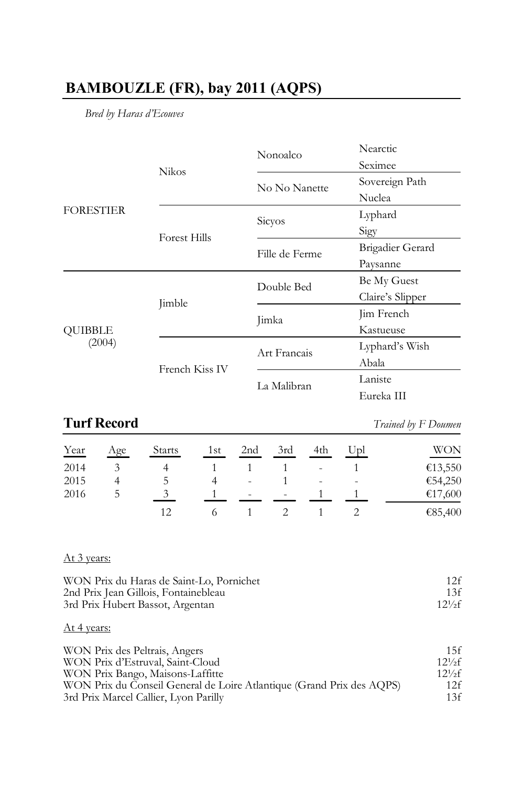# **BAMBOUZLE (FR), bay 2011 (AQPS)**

*Bred by Haras d'Ecouves*

|                                    |                     | Nonoalco       | Nearctic                                                                                                                                             |
|------------------------------------|---------------------|----------------|------------------------------------------------------------------------------------------------------------------------------------------------------|
|                                    | <b>Nikos</b>        |                | Seximee<br>Sovereign Path<br>Nuclea<br>Lyphard<br>Sigy<br>Brigadier Gerard<br>Paysanne<br>Be My Guest<br>Claire's Slipper<br>Jim French<br>Kastueuse |
|                                    |                     | No No Nanette  |                                                                                                                                                      |
|                                    |                     |                | Lyphard's Wish<br>Abala<br>Laniste<br>Eureka III                                                                                                     |
| (2004)                             |                     | <b>Sicyos</b>  |                                                                                                                                                      |
|                                    | <b>Forest Hills</b> |                |                                                                                                                                                      |
|                                    |                     | Fille de Ferme |                                                                                                                                                      |
|                                    |                     |                |                                                                                                                                                      |
| <b>FORESTIER</b><br><b>OUIBBLE</b> |                     | Double Bed     |                                                                                                                                                      |
|                                    | Jimble              |                |                                                                                                                                                      |
|                                    |                     | Jimka          |                                                                                                                                                      |
|                                    |                     |                |                                                                                                                                                      |
|                                    | French Kiss IV      | Art Francais   |                                                                                                                                                      |
|                                    |                     |                |                                                                                                                                                      |
|                                    |                     | La Malibran    |                                                                                                                                                      |
|                                    |                     |                |                                                                                                                                                      |

# **Turf Record** *Trained by F Doumen*

| Year | Age | <b>Starts</b> | 1st | 2nd    | 3rd                      | 4th            | Upl                      | <b>WON</b> |
|------|-----|---------------|-----|--------|--------------------------|----------------|--------------------------|------------|
| 2014 |     |               |     |        |                          | ٠              |                          | €13,550    |
| 2015 |     |               |     | ٠      |                          | $\overline{a}$ | $\overline{\phantom{a}}$ | €54,250    |
| 2016 | C.  |               |     | $\sim$ | $\overline{\phantom{a}}$ |                |                          | €17,600    |
|      |     | 12            |     |        |                          |                |                          | €85,400    |

### At 3 years:

| WON Prix du Haras de Saint-Lo, Pornichet | 12f         |
|------------------------------------------|-------------|
| 2nd Prix Jean Gillois, Fontainebleau     | 13f         |
| 3rd Prix Hubert Bassot, Argentan         | $12^{1/2}f$ |

### At 4 years:

| WON Prix des Peltrais, Angers                                         | 15f          |
|-----------------------------------------------------------------------|--------------|
| WON Prix d'Estruval, Saint-Cloud                                      | $12^{1/2}$ f |
| WON Prix Bango, Maisons-Laffitte                                      | $12^{1/2}$ f |
| WON Prix du Conseil General de Loire Atlantique (Grand Prix des AQPS) | 12f          |
| 3rd Prix Marcel Callier, Lyon Parilly                                 | 13f          |